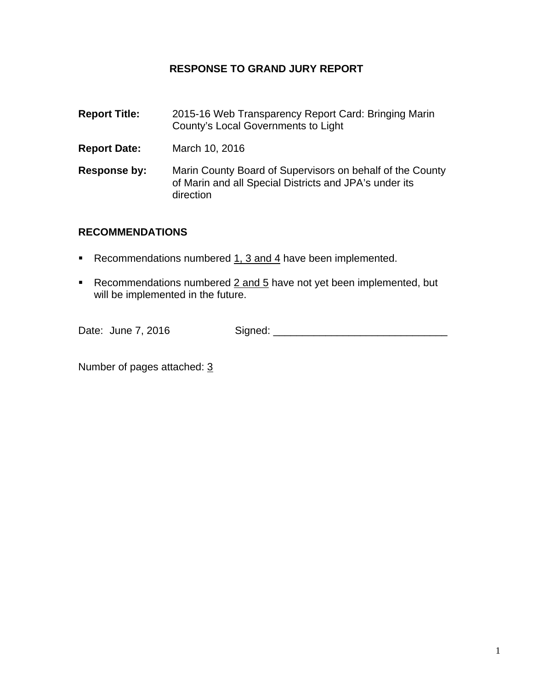# **RESPONSE TO GRAND JURY REPORT**

| <b>Report Title:</b> | 2015-16 Web Transparency Report Card: Bringing Marin<br>County's Local Governments to Light                                      |
|----------------------|----------------------------------------------------------------------------------------------------------------------------------|
| <b>Report Date:</b>  | March 10, 2016                                                                                                                   |
| Response by:         | Marin County Board of Supervisors on behalf of the County<br>of Marin and all Special Districts and JPA's under its<br>direction |

# **RECOMMENDATIONS**

- Recommendations numbered  $1, 3$  and  $4$  have been implemented.
- Recommendations numbered  $2$  and  $5$  have not yet been implemented, but will be implemented in the future.

Date: June 7, 2016 Signed: \_\_\_\_\_\_\_\_\_\_\_\_\_\_\_\_\_\_\_\_\_\_\_\_\_\_\_\_\_\_

Number of pages attached: 3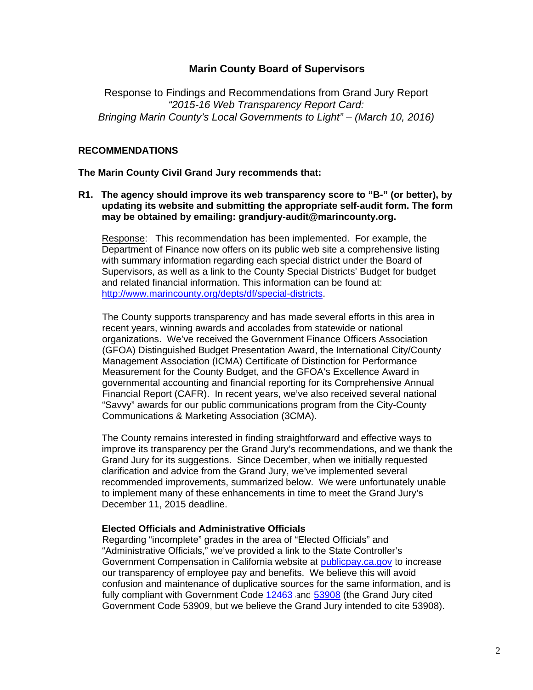# **Marin County Board of Supervisors**

Response to Findings and Recommendations from Grand Jury Report *"2015-16 Web Transparency Report Card: Bringing Marin County's Local Governments to Light" – (March 10, 2016)*

### **RECOMMENDATIONS**

**The Marin County Civil Grand Jury recommends that:** 

**R1. The agency should improve its web transparency score to "B-" (or better), by updating its website and submitting the appropriate self-audit form. The form may be obtained by emailing: grandjury-audit@marincounty.org.** 

Response: This recommendation has been implemented. For example, the Department of Finance now offers on its public web site a comprehensive listing with summary information regarding each special district under the Board of Supervisors, as well as a link to the County Special Districts' Budget for budget and related financial information. This information can be found at: http://www.marincounty.org/depts/df/special-districts.

The County supports transparency and has made several efforts in this area in recent years, winning awards and accolades from statewide or national organizations. We've received the Government Finance Officers Association (GFOA) Distinguished Budget Presentation Award, the International City/County Management Association (ICMA) Certificate of Distinction for Performance Measurement for the County Budget, and the GFOA's Excellence Award in governmental accounting and financial reporting for its Comprehensive Annual Financial Report (CAFR). In recent years, we've also received several national "Savvy" awards for our public communications program from the City-County Communications & Marketing Association (3CMA).

The County remains interested in finding straightforward and effective ways to improve its transparency per the Grand Jury's recommendations, and we thank the Grand Jury for its suggestions. Since December, when we initially requested clarification and advice from the Grand Jury, we've implemented several recommended improvements, summarized below. We were unfortunately unable to implement many of these enhancements in time to meet the Grand Jury's December 11, 2015 deadline.

# **Elected Officials and Administrative Officials**

Regarding "incomplete" grades in the area of "Elected Officials" and "Administrative Officials," we've provided a link to the State Controller's Government Compensation in California website a[t publicpay.ca.gov t](http://publicpay.ca.gov/)o increase our transparency of employee pay and benefits. We believe this will avoid confusion and maintenance of duplicative sources for the same information, and is fully compliant with Government Code [12463 a](http://leginfo.legislature.ca.gov/faces/codes_displaySection.xhtml?sectionNum=12463.&lawCode=GOV)n[d 53908 \(](http://leginfo.legislature.ca.gov/faces/codes_displaySection.xhtml?sectionNum=53908.&lawCode=GOV)the Grand Jury cited Government Code 53909, but we believe the Grand Jury intended to cite 53908).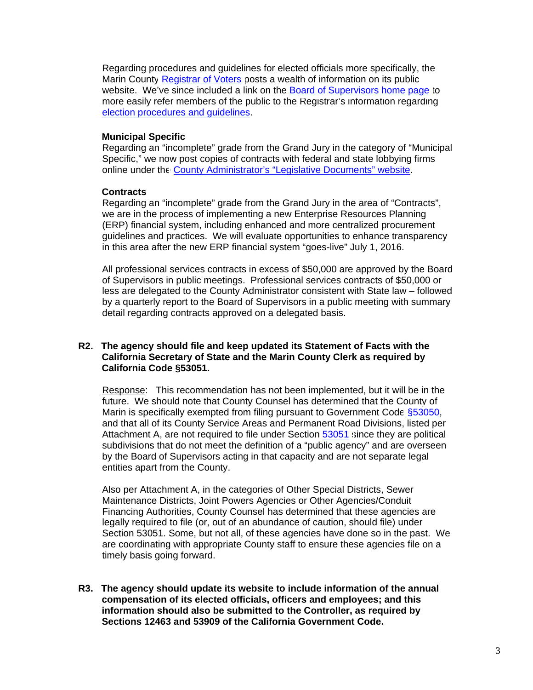Regarding procedures and guidelines for elected officials more specifically, the Marin Count[y Registrar of Voters p](http://www.marincounty.org/depts/rv)osts a wealth of information on its public website. We've since included a link on the [Board of Supervisors home page t](http://www.marincounty.org/depts/bs)o more easily refer members of the public to the Registrar's information regarding [election procedures and guidelines.](http://www.marincounty.org/depts/rv/election-info) 

#### **Municipal Specific**

Regarding an "incomplete" grade from the Grand Jury in the category of "Municipal Specific," we now post copies of contracts with federal and state lobbying firms online under th[e County Administrator's "Legislative Documents" website.](http://www.marincounty.org/depts/ad/divisions/management-and-budget/legislative-documents) 

#### **Contracts**

Regarding an "incomplete" grade from the Grand Jury in the area of "Contracts", we are in the process of implementing a new Enterprise Resources Planning (ERP) financial system, including enhanced and more centralized procurement guidelines and practices. We will evaluate opportunities to enhance transparency in this area after the new ERP financial system "goes-live" July 1, 2016.

All professional services contracts in excess of \$50,000 are approved by the Board of Supervisors in public meetings. Professional services contracts of \$50,000 or less are delegated to the County Administrator consistent with State law – followed by a quarterly report to the Board of Supervisors in a public meeting with summary detail regarding contracts approved on a delegated basis.

#### **R2. The agency should file and keep updated its Statement of Facts with the California Secretary of State and the Marin County Clerk as required by California Code §53051.**

Response: This recommendation has not been implemented, but it will be in the future. We should note that County Counsel has determined that the County of Marin is specifically exempted from filing pursuant to Government Code \$53050, and that all of its County Service Areas and Permanent Road Divisions, listed per Attachment A, are not required to file under Sectio[n 53051 s](http://leginfo.legislature.ca.gov/faces/codes_displaySection.xhtml?sectionNum=53051.&lawCode=GOV)ince they are political subdivisions that do not meet the definition of a "public agency" and are overseen by the Board of Supervisors acting in that capacity and are not separate legal entities apart from the County.

Also per Attachment A, in the categories of Other Special Districts, Sewer Maintenance Districts, Joint Powers Agencies or Other Agencies/Conduit Financing Authorities, County Counsel has determined that these agencies are legally required to file (or, out of an abundance of caution, should file) under Section 53051. Some, but not all, of these agencies have done so in the past. We are coordinating with appropriate County staff to ensure these agencies file on a timely basis going forward.

**R3. The agency should update its website to include information of the annual compensation of its elected officials, officers and employees; and this information should also be submitted to the Controller, as required by Sections 12463 and 53909 of the California Government Code.**